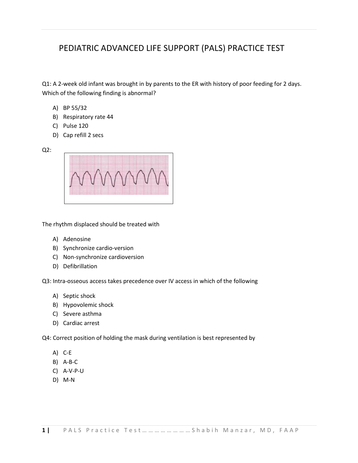# PEDIATRIC ADVANCED LIFE SUPPORT (PALS) PRACTICE TEST

Q1: A 2-week old infant was brought in by parents to the ER with history of poor feeding for 2 days. Which of the following finding is abnormal?

- A) BP 55/32
- B) Respiratory rate 44
- C) Pulse 120
- D) Cap refill 2 secs

Q2:



The rhythm displaced should be treated with

- A) Adenosine
- B) Synchronize cardio-version
- C) Non-synchronize cardioversion
- D) Defibrillation

Q3: Intra-osseous access takes precedence over IV access in which of the following

- A) Septic shock
- B) Hypovolemic shock
- C) Severe asthma
- D) Cardiac arrest

Q4: Correct position of holding the mask during ventilation is best represented by

- A) C-E
- B) A-B-C
- C) A-V-P-U
- D) M-N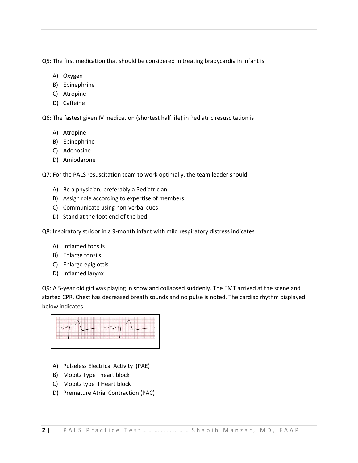Q5: The first medication that should be considered in treating bradycardia in infant is

- A) Oxygen
- B) Epinephrine
- C) Atropine
- D) Caffeine

Q6: The fastest given IV medication (shortest half life) in Pediatric resuscitation is

- A) Atropine
- B) Epinephrine
- C) Adenosine
- D) Amiodarone

Q7: For the PALS resuscitation team to work optimally, the team leader should

- A) Be a physician, preferably a Pediatrician
- B) Assign role according to expertise of members
- C) Communicate using non-verbal cues
- D) Stand at the foot end of the bed

Q8: Inspiratory stridor in a 9-month infant with mild respiratory distress indicates

- A) Inflamed tonsils
- B) Enlarge tonsils
- C) Enlarge epiglottis
- D) Inflamed larynx

Q9: A 5-year old girl was playing in snow and collapsed suddenly. The EMT arrived at the scene and started CPR. Chest has decreased breath sounds and no pulse is noted. The cardiac rhythm displayed below indicates



- A) Pulseless Electrical Activity (PAE)
- B) Mobitz Type I heart block
- C) Mobitz type II Heart block
- D) Premature Atrial Contraction (PAC)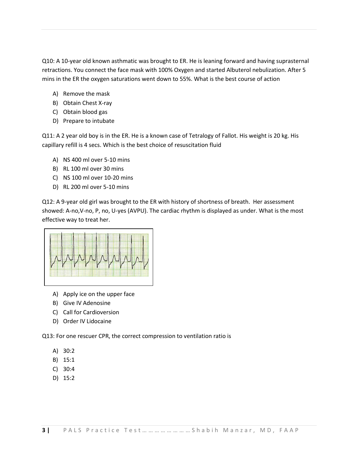Q10: A 10-year old known asthmatic was brought to ER. He is leaning forward and having suprasternal retractions. You connect the face mask with 100% Oxygen and started Albuterol nebulization. After 5 mins in the ER the oxygen saturations went down to 55%. What is the best course of action

- A) Remove the mask
- B) Obtain Chest X-ray
- C) Obtain blood gas
- D) Prepare to intubate

Q11: A 2 year old boy is in the ER. He is a known case of Tetralogy of Fallot. His weight is 20 kg. His capillary refill is 4 secs. Which is the best choice of resuscitation fluid

- A) NS 400 ml over 5-10 mins
- B) RL 100 ml over 30 mins
- C) NS 100 ml over 10-20 mins
- D) RL 200 ml over 5-10 mins

Q12: A 9-year old girl was brought to the ER with history of shortness of breath. Her assessment showed: A-no,V-no, P, no, U-yes (AVPU). The cardiac rhythm is displayed as under. What is the most effective way to treat her.



- A) Apply ice on the upper face
- B) Give IV Adenosine
- C) Call for Cardioversion
- D) Order IV Lidocaine

Q13: For one rescuer CPR, the correct compression to ventilation ratio is

- A) 30:2
- B) 15:1
- C) 30:4
- D) 15:2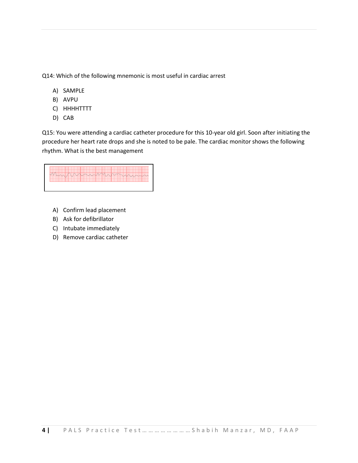Q14: Which of the following mnemonic is most useful in cardiac arrest

- A) SAMPLE
- B) AVPU
- C) HHHHTTTT
- D) CAB

Q15: You were attending a cardiac catheter procedure for this 10-year old girl. Soon after initiating the procedure her heart rate drops and she is noted to be pale. The cardiac monitor shows the following rhythm. What is the best management



- A) Confirm lead placement
- B) Ask for defibrillator
- C) Intubate immediately
- D) Remove cardiac catheter